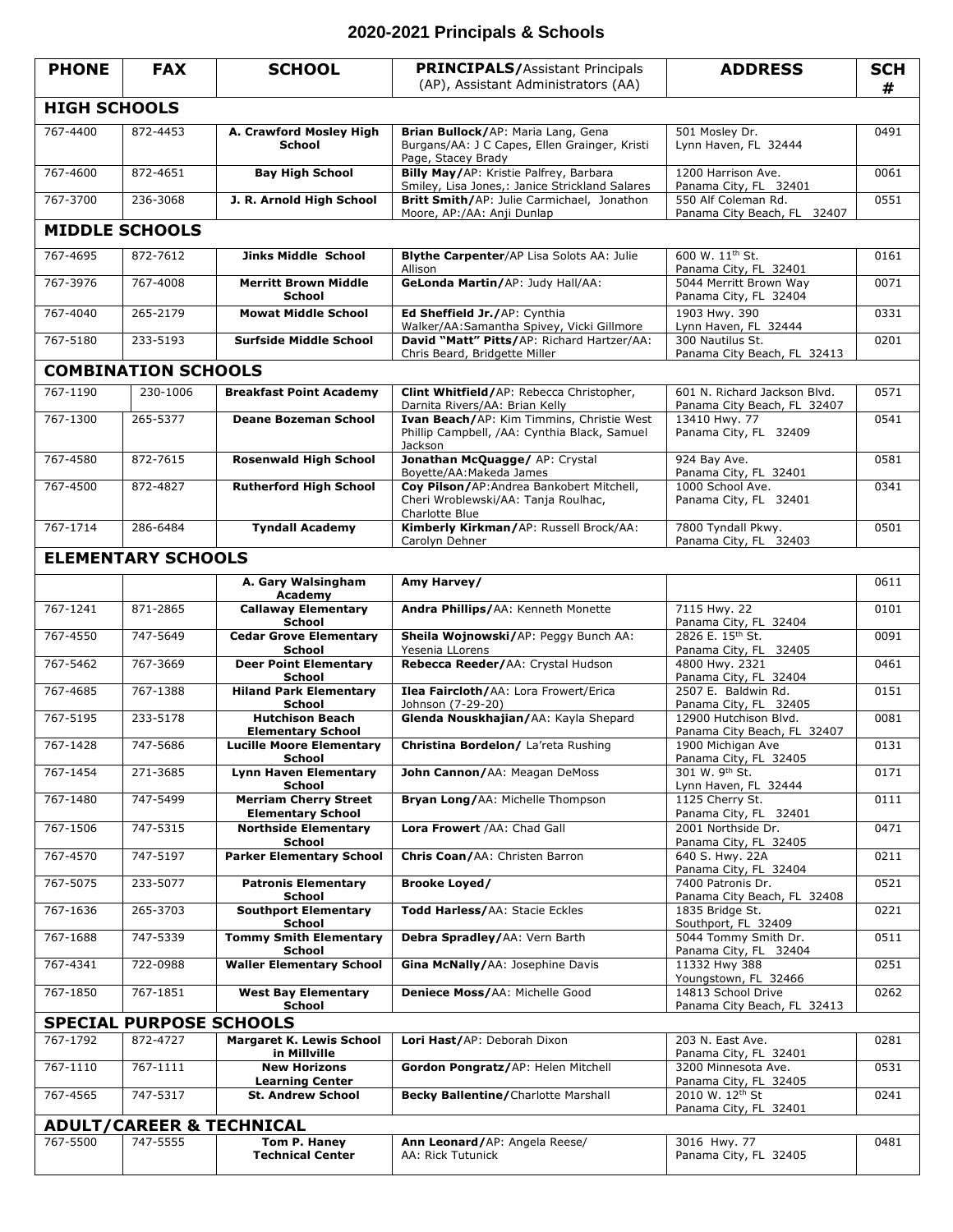## **2020-2021 Principals & Schools**

| <b>PHONE</b>                        | <b>FAX</b> | <b>SCHOOL</b>                                            | <b>PRINCIPALS/Assistant Principals</b><br>(AP), Assistant Administrators (AA)                             | <b>ADDRESS</b>                                              | <b>SCH</b><br># |  |  |  |  |  |
|-------------------------------------|------------|----------------------------------------------------------|-----------------------------------------------------------------------------------------------------------|-------------------------------------------------------------|-----------------|--|--|--|--|--|
| <b>HIGH SCHOOLS</b>                 |            |                                                          |                                                                                                           |                                                             |                 |  |  |  |  |  |
| 767-4400                            | 872-4453   | A. Crawford Mosley High<br><b>School</b>                 | Brian Bullock/AP: Maria Lang, Gena<br>Burgans/AA: J C Capes, Ellen Grainger, Kristi<br>Page, Stacey Brady | 501 Mosley Dr.<br>Lynn Haven, FL 32444                      | 0491            |  |  |  |  |  |
| 767-4600                            | 872-4651   | <b>Bay High School</b>                                   | Billy May/AP: Kristie Palfrey, Barbara<br>Smiley, Lisa Jones,: Janice Strickland Salares                  | 1200 Harrison Ave.<br>Panama City, FL 32401                 | 0061            |  |  |  |  |  |
| 767-3700                            | 236-3068   | J. R. Arnold High School                                 | Britt Smith/AP: Julie Carmichael, Jonathon<br>Moore, AP:/AA: Anji Dunlap                                  | 550 Alf Coleman Rd.<br>Panama City Beach, FL 32407          | 0551            |  |  |  |  |  |
| <b>MIDDLE SCHOOLS</b>               |            |                                                          |                                                                                                           |                                                             |                 |  |  |  |  |  |
| 767-4695                            | 872-7612   | <b>Jinks Middle School</b>                               | Blythe Carpenter/AP Lisa Solots AA: Julie<br>Allison                                                      | 600 W. 11 <sup>th</sup> St.<br>Panama City, FL 32401        | 0161            |  |  |  |  |  |
| 767-3976                            | 767-4008   | <b>Merritt Brown Middle</b><br><b>School</b>             | GeLonda Martin/AP: Judy Hall/AA:                                                                          | 5044 Merritt Brown Way<br>Panama City, FL 32404             | 0071            |  |  |  |  |  |
| 767-4040                            | 265-2179   | <b>Mowat Middle School</b>                               | Ed Sheffield Jr./AP: Cynthia<br>Walker/AA:Samantha Spivey, Vicki Gillmore                                 | 1903 Hwy. 390<br>Lynn Haven, FL 32444                       | 0331            |  |  |  |  |  |
| 767-5180                            | 233-5193   | <b>Surfside Middle School</b>                            | David "Matt" Pitts/AP: Richard Hartzer/AA:<br>Chris Beard, Bridgette Miller                               | 300 Nautilus St.<br>Panama City Beach, FL 32413             | 0201            |  |  |  |  |  |
| <b>COMBINATION SCHOOLS</b>          |            |                                                          |                                                                                                           |                                                             |                 |  |  |  |  |  |
| 767-1190                            | 230-1006   | <b>Breakfast Point Academy</b>                           | Clint Whitfield/AP: Rebecca Christopher,<br>Darnita Rivers/AA: Brian Kelly                                | 601 N. Richard Jackson Blvd.<br>Panama City Beach, FL 32407 | 0571            |  |  |  |  |  |
| 767-1300                            | 265-5377   | <b>Deane Bozeman School</b>                              | Ivan Beach/AP: Kim Timmins, Christie West<br>Phillip Campbell, /AA: Cynthia Black, Samuel<br>Jackson      | 13410 Hwy. 77<br>Panama City, FL 32409                      | 0541            |  |  |  |  |  |
| 767-4580                            | 872-7615   | <b>Rosenwald High School</b>                             | Jonathan McQuagge/ AP: Crystal<br>Boyette/AA: Makeda James                                                | 924 Bay Ave.<br>Panama City, FL 32401                       | 0581            |  |  |  |  |  |
| 767-4500                            | 872-4827   | <b>Rutherford High School</b>                            | Coy Pilson/AP: Andrea Bankobert Mitchell,<br>Cheri Wroblewski/AA: Tanja Roulhac,<br>Charlotte Blue        | 1000 School Ave.<br>Panama City, FL 32401                   | 0341            |  |  |  |  |  |
| 767-1714                            | 286-6484   | <b>Tyndall Academy</b>                                   | Kimberly Kirkman/AP: Russell Brock/AA:<br>Carolyn Dehner                                                  | 7800 Tyndall Pkwy.<br>Panama City, FL 32403                 | 0501            |  |  |  |  |  |
| <b>ELEMENTARY SCHOOLS</b>           |            |                                                          |                                                                                                           |                                                             |                 |  |  |  |  |  |
|                                     |            | A. Gary Walsingham<br>Academy                            | Amy Harvey/                                                                                               |                                                             | 0611            |  |  |  |  |  |
| 767-1241                            | 871-2865   | <b>Callaway Elementary</b><br>School                     | Andra Phillips/AA: Kenneth Monette                                                                        | 7115 Hwy. 22<br>Panama City, FL 32404                       | 0101            |  |  |  |  |  |
| 767-4550                            | 747-5649   | <b>Cedar Grove Elementary</b><br>School                  | Sheila Wojnowski/AP: Peggy Bunch AA:<br>Yesenia LLorens                                                   | 2826 E. 15 <sup>th</sup> St.<br>Panama City, FL 32405       | 0091            |  |  |  |  |  |
| 767-5462                            | 767-3669   | <b>Deer Point Elementary</b><br>School                   | Rebecca Reeder/AA: Crystal Hudson                                                                         | 4800 Hwy. 2321<br>Panama City, FL 32404                     | 0461            |  |  |  |  |  |
| 767-4685                            | 767-1388   | <b>Hiland Park Elementary</b><br><b>School</b>           | Ilea Faircloth/AA: Lora Frowert/Erica<br>Johnson (7-29-20)                                                | 2507 E. Baldwin Rd.<br>Panama City, FL 32405                | 0151            |  |  |  |  |  |
| 767-5195                            | 233-5178   | <b>Hutchison Beach</b><br><b>Elementary School</b>       | Glenda Nouskhajian/AA: Kayla Shepard                                                                      | 12900 Hutchison Blvd.<br>Panama City Beach, FL 32407        | 0081            |  |  |  |  |  |
| 767-1428                            | 747-5686   | <b>Lucille Moore Elementary</b><br>School                | Christina Bordelon/ La'reta Rushing                                                                       | 1900 Michigan Ave<br>Panama City, FL 32405                  | 0131            |  |  |  |  |  |
| 767-1454                            | 271-3685   | <b>Lynn Haven Elementary</b><br><b>School</b>            | John Cannon/AA: Meagan DeMoss                                                                             | 301 W. 9 <sup>th</sup> St.<br>Lynn Haven, FL 32444          | 0171            |  |  |  |  |  |
| 767-1480                            | 747-5499   | <b>Merriam Cherry Street</b><br><b>Elementary School</b> | Bryan Long/AA: Michelle Thompson                                                                          | 1125 Cherry St.<br>Panama City, FL 32401                    | 0111            |  |  |  |  |  |
| 767-1506                            | 747-5315   | <b>Northside Elementary</b><br>School                    | Lora Frowert /AA: Chad Gall                                                                               | 2001 Northside Dr.<br>Panama City, FL 32405                 | 0471            |  |  |  |  |  |
| 767-4570                            | 747-5197   | <b>Parker Elementary School</b>                          | Chris Coan/AA: Christen Barron                                                                            | 640 S. Hwy. 22A<br>Panama City, FL 32404                    | 0211            |  |  |  |  |  |
| 767-5075                            | 233-5077   | <b>Patronis Elementary</b><br>School                     | <b>Brooke Loyed/</b>                                                                                      | 7400 Patronis Dr.<br>Panama City Beach, FL 32408            | 0521            |  |  |  |  |  |
| 767-1636                            | 265-3703   | <b>Southport Elementary</b><br>School                    | Todd Harless/AA: Stacie Eckles                                                                            | 1835 Bridge St.<br>Southport, FL 32409                      | 0221            |  |  |  |  |  |
| 767-1688                            | 747-5339   | <b>Tommy Smith Elementary</b><br><b>School</b>           | Debra Spradley/AA: Vern Barth                                                                             | 5044 Tommy Smith Dr.<br>Panama City, FL 32404               | 0511            |  |  |  |  |  |
| 767-4341                            | 722-0988   | <b>Waller Elementary School</b>                          | Gina McNally/AA: Josephine Davis                                                                          | 11332 Hwy 388<br>Youngstown, FL 32466                       | 0251            |  |  |  |  |  |
| 767-1850                            | 767-1851   | <b>West Bay Elementary</b><br>School                     | Deniece Moss/AA: Michelle Good                                                                            | 14813 School Drive<br>Panama City Beach, FL 32413           | 0262            |  |  |  |  |  |
| <b>SPECIAL PURPOSE SCHOOLS</b>      |            |                                                          |                                                                                                           |                                                             |                 |  |  |  |  |  |
| 767-1792                            | 872-4727   | <b>Margaret K. Lewis School</b><br>in Millville          | Lori Hast/AP: Deborah Dixon                                                                               | 203 N. East Ave.<br>Panama City, FL 32401                   | 0281            |  |  |  |  |  |
| 767-1110                            | 767-1111   | <b>New Horizons</b><br><b>Learning Center</b>            | Gordon Pongratz/AP: Helen Mitchell                                                                        | 3200 Minnesota Ave.<br>Panama City, FL 32405                | 0531            |  |  |  |  |  |
| 767-4565                            | 747-5317   | <b>St. Andrew School</b>                                 | <b>Becky Ballentine/Charlotte Marshall</b>                                                                | 2010 W. 12 <sup>th</sup> St<br>Panama City, FL 32401        | 0241            |  |  |  |  |  |
| <b>ADULT/CAREER &amp; TECHNICAL</b> |            |                                                          |                                                                                                           |                                                             |                 |  |  |  |  |  |
| 767-5500                            | 747-5555   | Tom P. Haney<br><b>Technical Center</b>                  | Ann Leonard/AP: Angela Reese/<br>AA: Rick Tutunick                                                        | 3016 Hwy. 77<br>Panama City, FL 32405                       | 0481            |  |  |  |  |  |